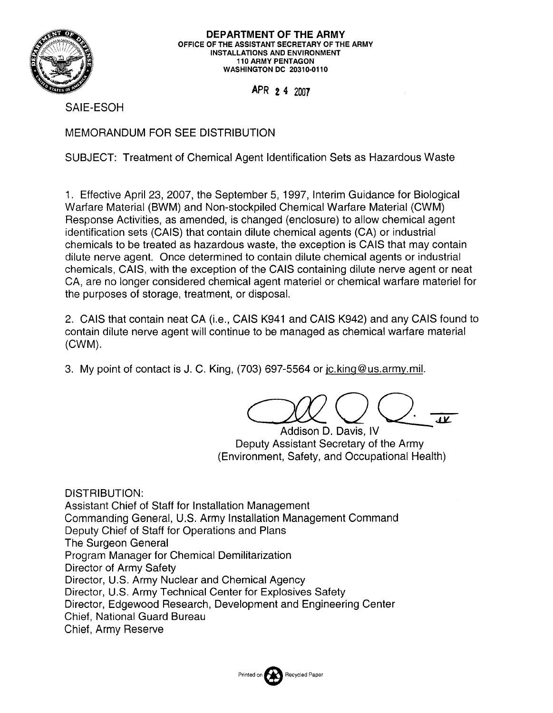

**DEPARTMENT OF THE ARMY**  OFFICE OF THE ASSISTANT SECRETARY OF THE ARMY INSTALLATIONS AND ENVIRONMENT 110 ARMY PENTAGON WASHINGTON DC 20310-0110

APR 2 4 2007

SAIE-ESOH

MEMORANDUM FOR SEE DISTRIBUTION

SUBJECT: Treatment of Chemical Agent Identification Sets as Hazardous Waste

1. Effective April 23, 2007, the September 5, 1997, Interim Guidance for Biological Warfare Material (BWM) and Non-stockpiled Chemical Warfare Material (CWM) Response Activities, as amended, is changed (enclosure) to allow chemical agent identification sets (CAIS) that contain dilute chemical agents (CA) or industrial chemicals to be treated as hazardous waste, the exception is CAIS that may contain dilute nerve agent. Once determined to contain dilute chemical agents or industrial chemicals, CAIS, with the exception of the CAIS containing dilute nerve agent or neat CA, are no longer considered chemical agent materiel or chemical warfare materiel for the purposes of storage, treatment, or disposal.

2. CAIS that contain neat CA (i.e., CAIS K941 and CAIS K942) and any CAIS found to contain dilute nerve agent will continue to be managed as chemical warfare material (CWM).

3. My point of contact is J. C. King, (703) 697-5564 or jc.king@us.army.mil.

Addison D. Davis, IV Deputy Assistant Secretary of the Army (Environment, Safety, and Occupational Health)

DISTRIBUTION: Assistant Chief of Staff for Installation Management Commanding General, U.S. Army Installation Management Command Deputy Chief of Staff for Operations and Plans The Surgeon General Program Manager for Chemical Demilitarization Director of Army Safety Director, U.S. Army Nuclear and Chemical Agency Director, U.S. Army Technical Center for Explosives Safety Director, Edgewood Research, Development and Engineering Center Chief, National Guard Bureau Chief, Army Reserve

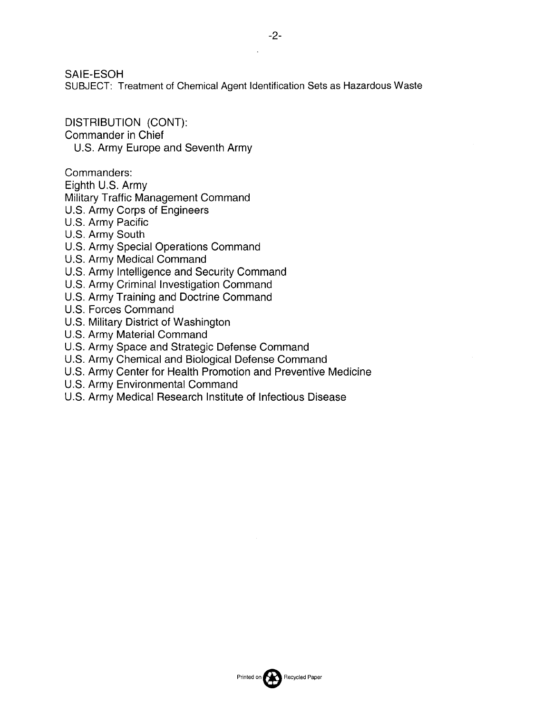SAIE-ESOH

SUBJECT: Treatment of Chemical Agent Identification Sets as Hazardous Waste

DISTRIBUTION (CONT): Commander in Chief U.S. Army Europe and Seventh Army

Commanders:

Eighth U.S. Army

Military Traffic Management Command

- U.S. Army Corps of Engineers
- U.S. Army Pacific
- U.S. Army South
- U.S. Army Special Operations Command
- U.S. Army Medical Command
- U.S. Army Intelligence and Security Command
- U.S. Army Criminal Investigation Command
- U.S. Army Training and Doctrine Command
- U.S. Forces Command
- U.S. Military District of Washington
- U.S. Army Material Command
- U.S. Army Space and Strategic Defense Command
- U.S. Army Chemical and Biological Defense Command
- U.S. Army Center for Health Promotion and Preventive Medicine
- U.S. Army Environmental Command
- U.S. Army Medical Research Institute of Infectious Disease